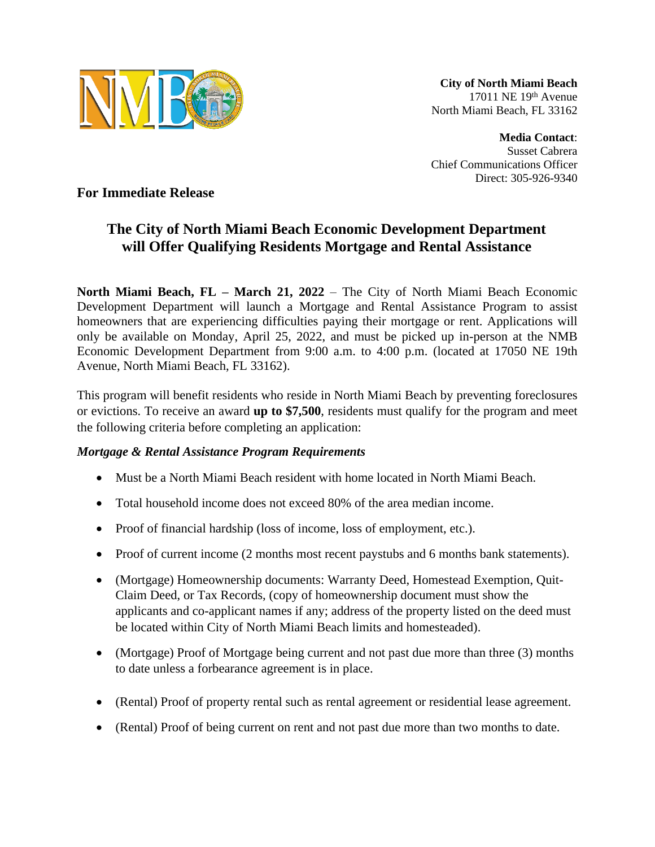

**City of North Miami Beach** 17011 NE 19th Avenue North Miami Beach, FL 33162

**Media Contact**: Susset Cabrera Chief Communications Officer Direct: 305-926-9340

**For Immediate Release**

## **The City of North Miami Beach Economic Development Department will Offer Qualifying Residents Mortgage and Rental Assistance**

**North Miami Beach, FL – March 21, 2022** – The City of North Miami Beach Economic Development Department will launch a Mortgage and Rental Assistance Program to assist homeowners that are experiencing difficulties paying their mortgage or rent. Applications will only be available on Monday, April 25, 2022, and must be picked up in-person at the NMB Economic Development Department from 9:00 a.m. to 4:00 p.m. (located at 17050 NE 19th Avenue, North Miami Beach, FL 33162).

This program will benefit residents who reside in North Miami Beach by preventing foreclosures or evictions. To receive an award **up to \$7,500**, residents must qualify for the program and meet the following criteria before completing an application:

## *Mortgage & Rental Assistance Program Requirements*

- Must be a North Miami Beach resident with home located in North Miami Beach.
- Total household income does not exceed 80% of the area median income.
- Proof of financial hardship (loss of income, loss of employment, etc.).
- Proof of current income (2 months most recent paystubs and 6 months bank statements).
- (Mortgage) Homeownership documents: Warranty Deed, Homestead Exemption, Quit-Claim Deed, or Tax Records, (copy of homeownership document must show the applicants and co-applicant names if any; address of the property listed on the deed must be located within City of North Miami Beach limits and homesteaded).
- (Mortgage) Proof of Mortgage being current and not past due more than three (3) months to date unless a forbearance agreement is in place.
- (Rental) Proof of property rental such as rental agreement or residential lease agreement.
- (Rental) Proof of being current on rent and not past due more than two months to date.